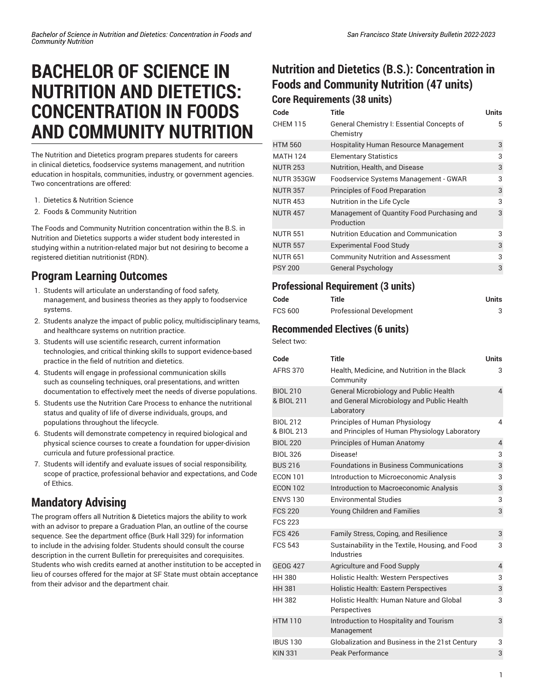# **BACHELOR OF SCIENCE IN NUTRITION AND DIETETICS: CONCENTRATION IN FOODS AND COMMUNITY NUTRITION**

The Nutrition and Dietetics program prepares students for careers in clinical dietetics, foodservice systems management, and nutrition education in hospitals, communities, industry, or government agencies. Two concentrations are offered:

- 1. Dietetics & Nutrition Science
- 2. Foods & Community Nutrition

The Foods and Community Nutrition concentration within the B.S. in Nutrition and Dietetics supports a wider student body interested in studying within a nutrition-related major but not desiring to become a registered dietitian nutritionist (RDN).

## **Program Learning Outcomes**

- 1. Students will articulate an understanding of food safety, management, and business theories as they apply to foodservice systems.
- 2. Students analyze the impact of public policy, multidisciplinary teams, and healthcare systems on nutrition practice.
- 3. Students will use scientific research, current information technologies, and critical thinking skills to support evidence-based practice in the field of nutrition and dietetics.
- 4. Students will engage in professional communication skills such as counseling techniques, oral presentations, and written documentation to effectively meet the needs of diverse populations.
- 5. Students use the Nutrition Care Process to enhance the nutritional status and quality of life of diverse individuals, groups, and populations throughout the lifecycle.
- 6. Students will demonstrate competency in required biological and physical science courses to create a foundation for upper-division curricula and future professional practice.
- 7. Students will identify and evaluate issues of social responsibility, scope of practice, professional behavior and expectations, and Code of Ethics.

## **Mandatory Advising**

The program offers all Nutrition & Dietetics majors the ability to work with an advisor to prepare a Graduation Plan, an outline of the course sequence. See the department office (Burk Hall 329) for information to include in the advising folder. Students should consult the course description in the current Bulletin for prerequisites and corequisites. Students who wish credits earned at another institution to be accepted in lieu of courses offered for the major at SF State must obtain acceptance from their advisor and the department chair.

# **Nutrition and Dietetics (B.S.): Concentration in Foods and Community Nutrition (47 units)**

**Core Requirements (38 units)**

| Code            | Title                                                    | Units |
|-----------------|----------------------------------------------------------|-------|
| <b>CHEM 115</b> | General Chemistry I: Essential Concepts of<br>Chemistry  | 5     |
| <b>HTM 560</b>  | <b>Hospitality Human Resource Management</b>             | 3     |
| <b>MATH 124</b> | <b>Elementary Statistics</b>                             | 3     |
| <b>NUTR 253</b> | Nutrition, Health, and Disease                           | 3     |
| NUTR 353GW      | Foodservice Systems Management - GWAR                    | 3     |
| <b>NUTR 357</b> | Principles of Food Preparation                           | 3     |
| <b>NUTR 453</b> | Nutrition in the Life Cycle                              | 3     |
| <b>NUTR 457</b> | Management of Quantity Food Purchasing and<br>Production | 3     |
| <b>NUTR 551</b> | <b>Nutrition Education and Communication</b>             | 3     |
| <b>NUTR 557</b> | <b>Experimental Food Study</b>                           | 3     |
| <b>NUTR 651</b> | <b>Community Nutrition and Assessment</b>                | 3     |
| <b>PSY 200</b>  | <b>General Psychology</b>                                | 3     |

#### **Professional Requirement (3 units)**

| Code    | Title                           | <b>Units</b> |
|---------|---------------------------------|--------------|
| FCS 600 | <b>Professional Development</b> |              |

#### **Recommended Electives (6 units)**

Select two:

| Code                          | <b>Title</b>                                                                                              | <b>Units</b>   |
|-------------------------------|-----------------------------------------------------------------------------------------------------------|----------------|
| <b>AFRS 370</b>               | Health, Medicine, and Nutrition in the Black<br>Community                                                 | 3              |
| <b>BIOL 210</b><br>& BIOL 211 | <b>General Microbiology and Public Health</b><br>and General Microbiology and Public Health<br>Laboratory | $\overline{4}$ |
| <b>BIOL 212</b><br>& BIOL 213 | Principles of Human Physiology<br>and Principles of Human Physiology Laboratory                           | $\overline{4}$ |
| <b>BIOL 220</b>               | Principles of Human Anatomy                                                                               | $\overline{4}$ |
| <b>BIOL 326</b>               | Disease!                                                                                                  | 3              |
| <b>BUS 216</b>                | <b>Foundations in Business Communications</b>                                                             | 3              |
| <b>ECON 101</b>               | Introduction to Microeconomic Analysis                                                                    | 3              |
| <b>ECON 102</b>               | Introduction to Macroeconomic Analysis                                                                    | 3              |
| <b>ENVS 130</b>               | <b>Environmental Studies</b>                                                                              | 3              |
| <b>FCS 220</b>                | Young Children and Families                                                                               | 3              |
| <b>FCS 223</b>                |                                                                                                           |                |
| <b>FCS 426</b>                | Family Stress, Coping, and Resilience                                                                     | 3              |
| <b>FCS 543</b>                | Sustainability in the Textile, Housing, and Food<br>Industries                                            | 3              |
| <b>GEOG 427</b>               | Agriculture and Food Supply                                                                               | $\overline{4}$ |
| <b>HH 380</b>                 | Holistic Health: Western Perspectives                                                                     | 3              |
| <b>HH381</b>                  | Holistic Health: Eastern Perspectives                                                                     | 3              |
| <b>HH 382</b>                 | Holistic Health: Human Nature and Global<br>Perspectives                                                  | 3              |
| <b>HTM 110</b>                | Introduction to Hospitality and Tourism<br>Management                                                     | 3              |
| <b>IBUS 130</b>               | Globalization and Business in the 21st Century                                                            | 3              |
| <b>KIN 331</b>                | Peak Performance                                                                                          | 3              |
|                               |                                                                                                           |                |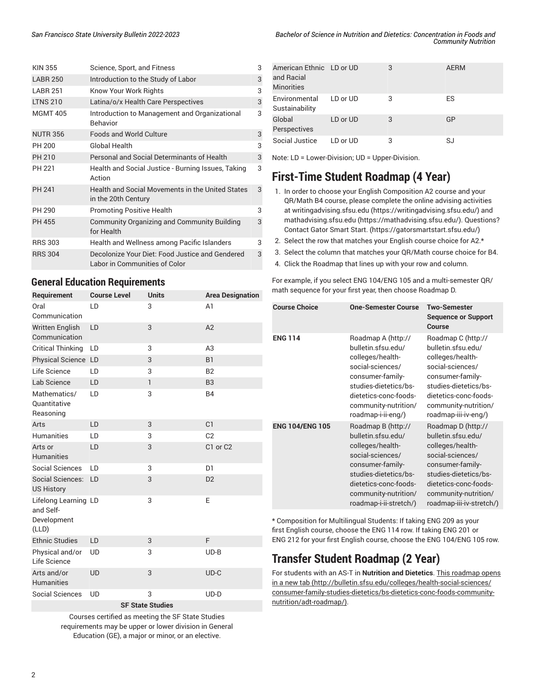| <b>KIN 355</b>  | Science, Sport, and Fitness                                                      | 3 |
|-----------------|----------------------------------------------------------------------------------|---|
| <b>LABR 250</b> | Introduction to the Study of Labor                                               | 3 |
| <b>LABR 251</b> | Know Your Work Rights                                                            | 3 |
| <b>LTNS 210</b> | Latina/o/x Health Care Perspectives                                              | 3 |
| <b>MGMT 405</b> | Introduction to Management and Organizational<br><b>Behavior</b>                 | 3 |
| <b>NUTR 356</b> | Foods and World Culture                                                          | 3 |
| PH 200          | Global Health                                                                    | 3 |
| PH 210          | Personal and Social Determinants of Health                                       | 3 |
| PH 221          | Health and Social Justice - Burning Issues, Taking<br>Action                     | 3 |
| <b>PH 241</b>   | Health and Social Movements in the United States<br>in the 20th Century          | 3 |
| PH 290          | <b>Promoting Positive Health</b>                                                 | 3 |
| <b>PH 455</b>   | <b>Community Organizing and Community Building</b><br>for Health                 | 3 |
| <b>RRS 303</b>  | Health and Wellness among Pacific Islanders                                      | 3 |
| <b>RRS 304</b>  | Decolonize Your Diet: Food Justice and Gendered<br>Labor in Communities of Color | 3 |
|                 |                                                                                  |   |

#### **General Education Requirements**

| Requirement                                               | <b>Course Level</b> | <b>Units</b>            | <b>Area Designation</b> |
|-----------------------------------------------------------|---------------------|-------------------------|-------------------------|
| Oral<br>Communication                                     | LD                  | 3                       | A <sub>1</sub>          |
| <b>Written English</b><br>Communication                   | LD                  | 3                       | A2                      |
| <b>Critical Thinking</b>                                  | LD                  | 3                       | A3                      |
| Physical Science LD                                       |                     | 3                       | <b>B1</b>               |
| Life Science                                              | LD                  | 3                       | <b>B2</b>               |
| Lab Science                                               | LD                  | 1                       | B <sub>3</sub>          |
| Mathematics/<br><b>Quantitative</b><br>Reasoning          | LD                  | 3                       | <b>B4</b>               |
| Arts                                                      | LD                  | 3                       | C <sub>1</sub>          |
| <b>Humanities</b>                                         | LD                  | 3                       | C <sub>2</sub>          |
| Arts or<br><b>Humanities</b>                              | LD                  | 3                       | C1 or C2                |
| <b>Social Sciences</b>                                    | LD                  | 3                       | D <sub>1</sub>          |
| Social Sciences:<br><b>US History</b>                     | LD                  | 3                       | D <sub>2</sub>          |
| Lifelong Learning LD<br>and Self-<br>Development<br>(LLD) |                     | 3                       | E                       |
| <b>Ethnic Studies</b>                                     | LD                  | 3                       | F                       |
| Physical and/or<br>Life Science                           | <b>UD</b>           | 3                       | $UD-B$                  |
| Arts and/or<br><b>Humanities</b>                          | <b>UD</b>           | 3                       | $UD-C$                  |
| <b>Social Sciences</b>                                    | <b>UD</b>           | 3                       | $UD-D$                  |
|                                                           |                     | <b>SF State Studies</b> |                         |

Courses certified as meeting the SF State Studies requirements may be upper or lower division in General Education (GE), a major or minor, or an elective.

| American Ethnic LD or UD<br>and Racial<br><b>Minorities</b> |          | 3 | <b>AERM</b> |
|-------------------------------------------------------------|----------|---|-------------|
| Environmental<br>Sustainability                             | LD or UD | 3 | ES          |
| Global<br>Perspectives                                      | LD or UD | 3 | GP          |
| Social Justice                                              | LD or UD | 3 | SJ          |

Note: LD = Lower-Division; UD = Upper-Division.

## **First-Time Student Roadmap (4 Year)**

- 1. In order to choose your English Composition A2 course and your QR/Math B4 course, please complete the online advising activities at [writingadvising.sfsu.edu \(https://writingadvising.sfsu.edu/](https://writingadvising.sfsu.edu/)) and [mathadvising.sfsu.edu \(https://mathadvising.sfsu.edu/](https://mathadvising.sfsu.edu/)). Questions? Contact Gator [Smart](https://gatorsmartstart.sfsu.edu/) Start. ([https://gatorsmartstart.sfsu.edu/\)](https://gatorsmartstart.sfsu.edu/)
- 2. Select the row that matches your English course choice for A2.\*
- 3. Select the column that matches your QR/Math course choice for B4.
- 4. Click the Roadmap that lines up with your row and column.

For example, if you select ENG 104/ENG 105 and a multi-semester QR/ math sequence for your first year, then choose Roadmap D.

| <b>Course Choice</b>   | <b>One-Semester Course</b>                                                                                                                                                                               | <b>Two-Semester</b><br><b>Sequence or Support</b><br>Course                                                                                                                                                |
|------------------------|----------------------------------------------------------------------------------------------------------------------------------------------------------------------------------------------------------|------------------------------------------------------------------------------------------------------------------------------------------------------------------------------------------------------------|
| <b>ENG 114</b>         | Roadmap A (http://<br>bulletin.sfsu.edu/<br>colleges/health-<br>social-sciences/<br>consumer-family-<br>studies-dietetics/bs-<br>dietetics-conc-foods-<br>community-nutrition/<br>roadmap-i-ii-eng/)     | Roadmap C (http://<br>bulletin.sfsu.edu/<br>colleges/health-<br>social-sciences/<br>consumer-family-<br>studies-dietetics/bs-<br>dietetics-conc-foods-<br>community-nutrition/<br>roadmap-iii-iv-eng/)     |
| <b>ENG 104/ENG 105</b> | Roadmap B (http://<br>bulletin.sfsu.edu/<br>colleges/health-<br>social-sciences/<br>consumer-family-<br>studies-dietetics/bs-<br>dietetics-conc-foods-<br>community-nutrition/<br>roadmap-i-ii-stretch/) | Roadmap D (http://<br>bulletin.sfsu.edu/<br>colleges/health-<br>social-sciences/<br>consumer-family-<br>studies-dietetics/bs-<br>dietetics-conc-foods-<br>community-nutrition/<br>roadmap-iii-iv-stretch/) |

\* Composition for Multilingual Students: If taking ENG 209 as your first English course, choose the ENG 114 row. If taking ENG 201 or ENG 212 for your first English course, choose the ENG 104/ENG 105 row.

# **Transfer Student Roadmap (2 Year)**

For students with an AS-T in **Nutrition and Dietetics**. This [roadmap](http://bulletin.sfsu.edu/colleges/health-social-sciences/consumer-family-studies-dietetics/bs-dietetics-conc-foods-community-nutrition/adt-roadmap/) opens [in a new tab \(http://bulletin.sfsu.edu/colleges/health-social-sciences/](http://bulletin.sfsu.edu/colleges/health-social-sciences/consumer-family-studies-dietetics/bs-dietetics-conc-foods-community-nutrition/adt-roadmap/) [consumer-family-studies-dietetics/bs-dietetics-conc-foods-community](http://bulletin.sfsu.edu/colleges/health-social-sciences/consumer-family-studies-dietetics/bs-dietetics-conc-foods-community-nutrition/adt-roadmap/)[nutrition/adt-roadmap/](http://bulletin.sfsu.edu/colleges/health-social-sciences/consumer-family-studies-dietetics/bs-dietetics-conc-foods-community-nutrition/adt-roadmap/)).